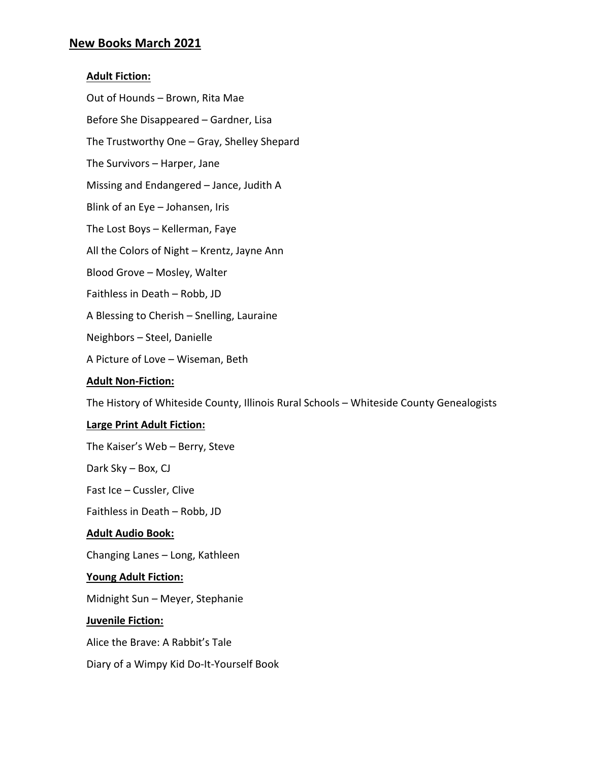## **New Books March 2021**

### **Adult Fiction:**

Out of Hounds – Brown, Rita Mae Before She Disappeared – Gardner, Lisa The Trustworthy One – Gray, Shelley Shepard The Survivors – Harper, Jane Missing and Endangered – Jance, Judith A Blink of an Eye – Johansen, Iris The Lost Boys – Kellerman, Faye All the Colors of Night – Krentz, Jayne Ann Blood Grove – Mosley, Walter Faithless in Death – Robb, JD A Blessing to Cherish – Snelling, Lauraine Neighbors – Steel, Danielle A Picture of Love – Wiseman, Beth

#### **Adult Non-Fiction:**

The History of Whiteside County, Illinois Rural Schools – Whiteside County Genealogists

#### **Large Print Adult Fiction:**

The Kaiser's Web – Berry, Steve

Dark Sky – Box, CJ

Fast Ice – Cussler, Clive

Faithless in Death – Robb, JD

#### **Adult Audio Book:**

Changing Lanes – Long, Kathleen

#### **Young Adult Fiction:**

Midnight Sun – Meyer, Stephanie

#### **Juvenile Fiction:**

Alice the Brave: A Rabbit's Tale

Diary of a Wimpy Kid Do-It-Yourself Book